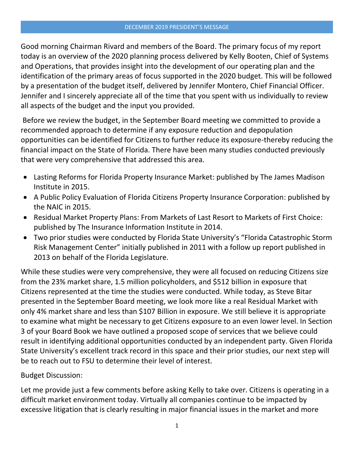Good morning Chairman Rivard and members of the Board. The primary focus of my report today is an overview of the 2020 planning process delivered by Kelly Booten, Chief of Systems and Operations, that provides insight into the development of our operating plan and the identification of the primary areas of focus supported in the 2020 budget. This will be followed by a presentation of the budget itself, delivered by Jennifer Montero, Chief Financial Officer. Jennifer and I sincerely appreciate all of the time that you spent with us individually to review all aspects of the budget and the input you provided.

Before we review the budget, in the September Board meeting we committed to provide a recommended approach to determine if any exposure reduction and depopulation opportunities can be identified for Citizens to further reduce its exposure-thereby reducing the financial impact on the State of Florida. There have been many studies conducted previously that were very comprehensive that addressed this area.

- Lasting Reforms for Florida Property Insurance Market: published by The James Madison Institute in 2015.
- A Public Policy Evaluation of Florida Citizens Property Insurance Corporation: published by the NAIC in 2015.
- Residual Market Property Plans: From Markets of Last Resort to Markets of First Choice: published by The Insurance Information Institute in 2014.
- Two prior studies were conducted by Florida State University's "Florida Catastrophic Storm Risk Management Center" initially published in 2011 with a follow up report published in 2013 on behalf of the Florida Legislature.

While these studies were very comprehensive, they were all focused on reducing Citizens size from the 23% market share, 1.5 million policyholders, and \$512 billion in exposure that Citizens represented at the time the studies were conducted. While today, as Steve Bitar presented in the September Board meeting, we look more like a real Residual Market with only 4% market share and less than \$107 Billion in exposure. We still believe it is appropriate to examine what might be necessary to get Citizens exposure to an even lower level. In Section 3 of your Board Book we have outlined a proposed scope of services that we believe could result in identifying additional opportunities conducted by an independent party. Given Florida State University's excellent track record in this space and their prior studies, our next step will be to reach out to FSU to determine their level of interest.

## Budget Discussion:

Let me provide just a few comments before asking Kelly to take over. Citizens is operating in a difficult market environment today. Virtually all companies continue to be impacted by excessive litigation that is clearly resulting in major financial issues in the market and more